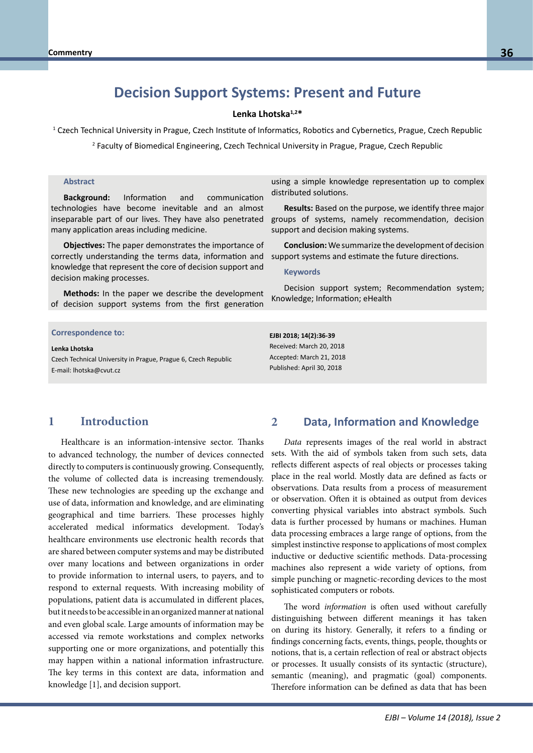# **Decision Support Systems: Present and Future**

#### **Lenka Lhotska1,2\***

1 Czech Technical University in Prague, Czech Institute of Informatics, Robotics and Cybernetics, Prague, Czech Republic

2 Faculty of Biomedical Engineering, Czech Technical University in Prague, Prague, Czech Republic

#### **Abstract**

**Background:** Information and communication technologies have become inevitable and an almost inseparable part of our lives. They have also penetrated many application areas including medicine.

**Objectives:** The paper demonstrates the importance of correctly understanding the terms data, information and knowledge that represent the core of decision support and decision making processes.

**Methods:** In the paper we describe the development of decision support systems from the first generation

## **Correspondence to: Correspondence to:**

**Prima Blobbill.** Bernd Blobels, FACMI, FACHI, FACHI, FACHI, FACHI, FACHI, FACHI, FACHI, FACHI, FACHI, FACHI, FACHI, FACHI, FACHI, FACHI, FACHI, FACHI, FACHI, FACHI, FACHI, FACHI, FACHI, FACHI, FACHI, FACHI, FACHI, FACHI, Czech Technical University in Prague, Prague 6, Czech Republic E-mail: lhotska@cvut.cz **Lenka Lhotska** 

using a simple knowledge representation up to complex distributed solutions.

**Results:** Based on the purpose, we identify three major groups of systems, namely recommendation, decision support and decision making systems.

**Conclusion:** We summarize the development of decision support systems and estimate the future directions.

#### **Keywords**

Decision support system; Recommendation system; Knowledge; Information; eHealth

**EJBI 2018; 14(2):36-39** Received: March 20, 2018 Accepted: March 21, 2018 Published: April 30, 2018

## **1 Introduction**

Healthcare is an information-intensive sector. Thanks to advanced technology, the number of devices connected directly to computers is continuously growing. Consequently, the volume of collected data is increasing tremendously. These new technologies are speeding up the exchange and use of data, information and knowledge, and are eliminating geographical and time barriers. These processes highly accelerated medical informatics development. Today's healthcare environments use electronic health records that are shared between computer systems and may be distributed over many locations and between organizations in order to provide information to internal users, to payers, and to respond to external requests. With increasing mobility of populations, patient data is accumulated in different places, but it needs to be accessible in an organized manner at national and even global scale. Large amounts of information may be accessed via remote workstations and complex networks supporting one or more organizations, and potentially this may happen within a national information infrastructure. The key terms in this context are data, information and knowledge [1], and decision support.

### **2 Data, Information and Knowledge**

*Data* represents images of the real world in abstract sets. With the aid of symbols taken from such sets, data reflects different aspects of real objects or processes taking place in the real world. Mostly data are defined as facts or observations. Data results from a process of measurement or observation. Often it is obtained as output from devices converting physical variables into abstract symbols. Such data is further processed by humans or machines. Human data processing embraces a large range of options, from the simplest instinctive response to applications of most complex inductive or deductive scientific methods. Data-processing machines also represent a wide variety of options, from simple punching or magnetic-recording devices to the most sophisticated computers or robots.

The word *information* is often used without carefully distinguishing between different meanings it has taken on during its history. Generally, it refers to a finding or findings concerning facts, events, things, people, thoughts or notions, that is, a certain reflection of real or abstract objects or processes. It usually consists of its syntactic (structure), semantic (meaning), and pragmatic (goal) components. Therefore information can be defined as data that has been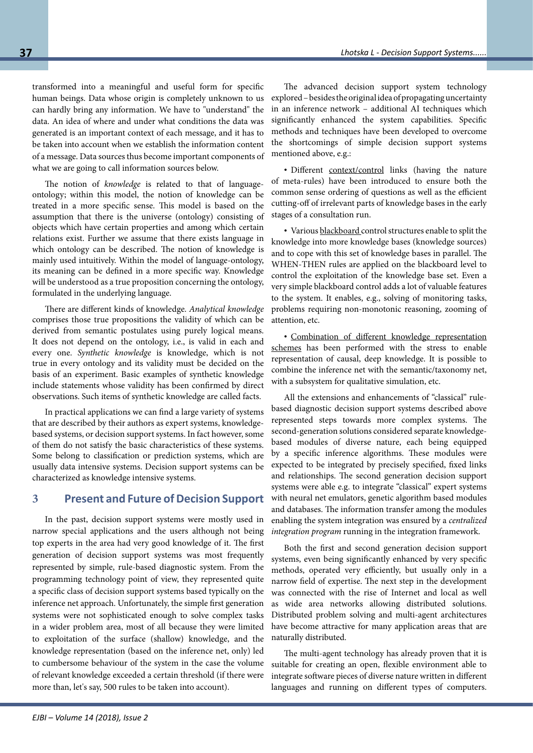transformed into a meaningful and useful form for specific human beings. Data whose origin is completely unknown to us can hardly bring any information. We have to "understand" the data. An idea of where and under what conditions the data was generated is an important context of each message, and it has to be taken into account when we establish the information content of a message. Data sources thus become important components of what we are going to call information sources below.

The notion of *knowledge* is related to that of languageontology; within this model, the notion of knowledge can be treated in a more specific sense. This model is based on the assumption that there is the universe (ontology) consisting of objects which have certain properties and among which certain relations exist. Further we assume that there exists language in which ontology can be described. The notion of knowledge is mainly used intuitively. Within the model of language-ontology, its meaning can be defined in a more specific way. Knowledge will be understood as a true proposition concerning the ontology, formulated in the underlying language.

There are different kinds of knowledge. *Analytical knowledge* comprises those true propositions the validity of which can be derived from semantic postulates using purely logical means. It does not depend on the ontology, i.e., is valid in each and every one. *Synthetic knowledge* is knowledge, which is not true in every ontology and its validity must be decided on the basis of an experiment. Basic examples of synthetic knowledge include statements whose validity has been confirmed by direct observations. Such items of synthetic knowledge are called facts.

In practical applications we can find a large variety of systems that are described by their authors as expert systems, knowledgebased systems, or decision support systems. In fact however, some of them do not satisfy the basic characteristics of these systems. Some belong to classification or prediction systems, which are usually data intensive systems. Decision support systems can be characterized as knowledge intensive systems.

## **3 Present and Future of Decision Support**

In the past, decision support systems were mostly used in narrow special applications and the users although not being top experts in the area had very good knowledge of it. The first generation of decision support systems was most frequently represented by simple, rule-based diagnostic system. From the programming technology point of view, they represented quite a specific class of decision support systems based typically on the inference net approach. Unfortunately, the simple first generation systems were not sophisticated enough to solve complex tasks in a wider problem area, most of all because they were limited to exploitation of the surface (shallow) knowledge, and the knowledge representation (based on the inference net, only) led to cumbersome behaviour of the system in the case the volume of relevant knowledge exceeded a certain threshold (if there were more than, let's say, 500 rules to be taken into account).

The advanced decision support system technology explored – besides the original idea of propagating uncertainty in an inference network – additional AI techniques which significantly enhanced the system capabilities. Specific methods and techniques have been developed to overcome the shortcomings of simple decision support systems mentioned above, e.g.:

• Different context/control links (having the nature of meta-rules) have been introduced to ensure both the common sense ordering of questions as well as the efficient cutting-off of irrelevant parts of knowledge bases in the early stages of a consultation run.

• Various blackboard control structures enable to split the knowledge into more knowledge bases (knowledge sources) and to cope with this set of knowledge bases in parallel. The WHEN-THEN rules are applied on the blackboard level to control the exploitation of the knowledge base set. Even a very simple blackboard control adds a lot of valuable features to the system. It enables, e.g., solving of monitoring tasks, problems requiring non-monotonic reasoning, zooming of attention, etc.

• Combination of different knowledge representation schemes has been performed with the stress to enable representation of causal, deep knowledge. It is possible to combine the inference net with the semantic/taxonomy net, with a subsystem for qualitative simulation, etc.

All the extensions and enhancements of "classical" rulebased diagnostic decision support systems described above represented steps towards more complex systems. The second-generation solutions considered separate knowledgebased modules of diverse nature, each being equipped by a specific inference algorithms. These modules were expected to be integrated by precisely specified, fixed links and relationships. The second generation decision support systems were able e.g. to integrate "classical" expert systems with neural net emulators, genetic algorithm based modules and databases. The information transfer among the modules enabling the system integration was ensured by a *centralized integration program* running in the integration framework.

Both the first and second generation decision support systems, even being significantly enhanced by very specific methods, operated very efficiently, but usually only in a narrow field of expertise. The next step in the development was connected with the rise of Internet and local as well as wide area networks allowing distributed solutions. Distributed problem solving and multi-agent architectures have become attractive for many application areas that are naturally distributed.

The multi-agent technology has already proven that it is suitable for creating an open, flexible environment able to integrate software pieces of diverse nature written in different languages and running on different types of computers.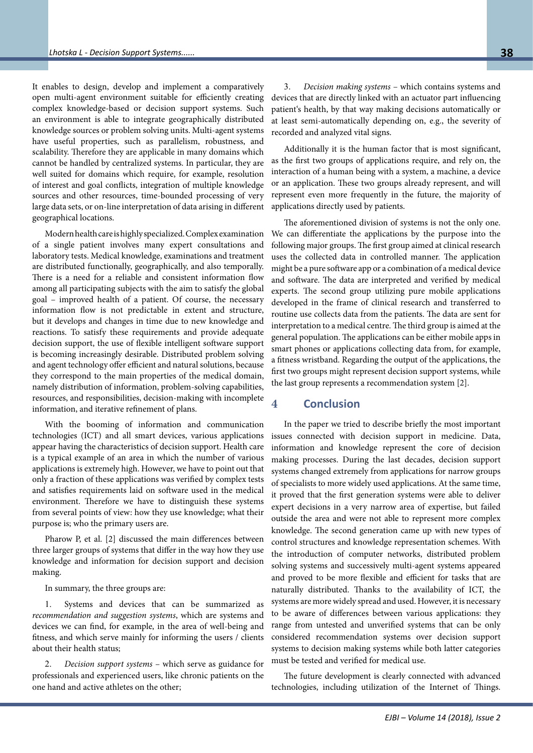It enables to design, develop and implement a comparatively open multi-agent environment suitable for efficiently creating complex knowledge-based or decision support systems. Such an environment is able to integrate geographically distributed knowledge sources or problem solving units. Multi-agent systems have useful properties, such as parallelism, robustness, and scalability. Therefore they are applicable in many domains which cannot be handled by centralized systems. In particular, they are well suited for domains which require, for example, resolution of interest and goal conflicts, integration of multiple knowledge sources and other resources, time-bounded processing of very large data sets, or on-line interpretation of data arising in different geographical locations.

Modern health care is highly specialized. Complex examination of a single patient involves many expert consultations and laboratory tests. Medical knowledge, examinations and treatment are distributed functionally, geographically, and also temporally. There is a need for a reliable and consistent information flow among all participating subjects with the aim to satisfy the global goal – improved health of a patient. Of course, the necessary information flow is not predictable in extent and structure, but it develops and changes in time due to new knowledge and reactions. To satisfy these requirements and provide adequate decision support, the use of flexible intelligent software support is becoming increasingly desirable. Distributed problem solving and agent technology offer efficient and natural solutions, because they correspond to the main properties of the medical domain, namely distribution of information, problem-solving capabilities, resources, and responsibilities, decision-making with incomplete information, and iterative refinement of plans.

With the booming of information and communication technologies (ICT) and all smart devices, various applications appear having the characteristics of decision support. Health care is a typical example of an area in which the number of various applications is extremely high. However, we have to point out that only a fraction of these applications was verified by complex tests and satisfies requirements laid on software used in the medical environment. Therefore we have to distinguish these systems from several points of view: how they use knowledge; what their purpose is; who the primary users are.

Pharow P, et al. [2] discussed the main differences between three larger groups of systems that differ in the way how they use knowledge and information for decision support and decision making.

In summary, the three groups are:

1. Systems and devices that can be summarized as *recommendation and suggestion systems*, which are systems and devices we can find, for example, in the area of well-being and fitness, and which serve mainly for informing the users / clients about their health status;

2. *Decision support systems* – which serve as guidance for professionals and experienced users, like chronic patients on the one hand and active athletes on the other;

3. *Decision making systems* – which contains systems and devices that are directly linked with an actuator part influencing patient's health, by that way making decisions automatically or at least semi-automatically depending on, e.g., the severity of recorded and analyzed vital signs.

Additionally it is the human factor that is most significant, as the first two groups of applications require, and rely on, the interaction of a human being with a system, a machine, a device or an application. These two groups already represent, and will represent even more frequently in the future, the majority of applications directly used by patients.

The aforementioned division of systems is not the only one. We can differentiate the applications by the purpose into the following major groups. The first group aimed at clinical research uses the collected data in controlled manner. The application might be a pure software app or a combination of a medical device and software. The data are interpreted and verified by medical experts. The second group utilizing pure mobile applications developed in the frame of clinical research and transferred to routine use collects data from the patients. The data are sent for interpretation to a medical centre. The third group is aimed at the general population. The applications can be either mobile apps in smart phones or applications collecting data from, for example, a fitness wristband. Regarding the output of the applications, the first two groups might represent decision support systems, while the last group represents a recommendation system [2].

### **4 Conclusion**

In the paper we tried to describe briefly the most important issues connected with decision support in medicine. Data, information and knowledge represent the core of decision making processes. During the last decades, decision support systems changed extremely from applications for narrow groups of specialists to more widely used applications. At the same time, it proved that the first generation systems were able to deliver expert decisions in a very narrow area of expertise, but failed outside the area and were not able to represent more complex knowledge. The second generation came up with new types of control structures and knowledge representation schemes. With the introduction of computer networks, distributed problem solving systems and successively multi-agent systems appeared and proved to be more flexible and efficient for tasks that are naturally distributed. Thanks to the availability of ICT, the systems are more widely spread and used. However, it is necessary to be aware of differences between various applications: they range from untested and unverified systems that can be only considered recommendation systems over decision support systems to decision making systems while both latter categories must be tested and verified for medical use.

The future development is clearly connected with advanced technologies, including utilization of the Internet of Things.